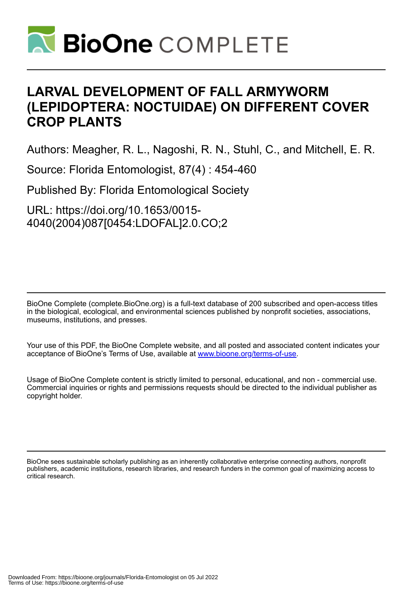

# **LARVAL DEVELOPMENT OF FALL ARMYWORM (LEPIDOPTERA: NOCTUIDAE) ON DIFFERENT COVER CROP PLANTS**

Authors: Meagher, R. L., Nagoshi, R. N., Stuhl, C., and Mitchell, E. R.

Source: Florida Entomologist, 87(4) : 454-460

Published By: Florida Entomological Society

URL: https://doi.org/10.1653/0015- 4040(2004)087[0454:LDOFAL]2.0.CO;2

BioOne Complete (complete.BioOne.org) is a full-text database of 200 subscribed and open-access titles in the biological, ecological, and environmental sciences published by nonprofit societies, associations, museums, institutions, and presses.

Your use of this PDF, the BioOne Complete website, and all posted and associated content indicates your acceptance of BioOne's Terms of Use, available at www.bioone.org/terms-of-use.

Usage of BioOne Complete content is strictly limited to personal, educational, and non - commercial use. Commercial inquiries or rights and permissions requests should be directed to the individual publisher as copyright holder.

BioOne sees sustainable scholarly publishing as an inherently collaborative enterprise connecting authors, nonprofit publishers, academic institutions, research libraries, and research funders in the common goal of maximizing access to critical research.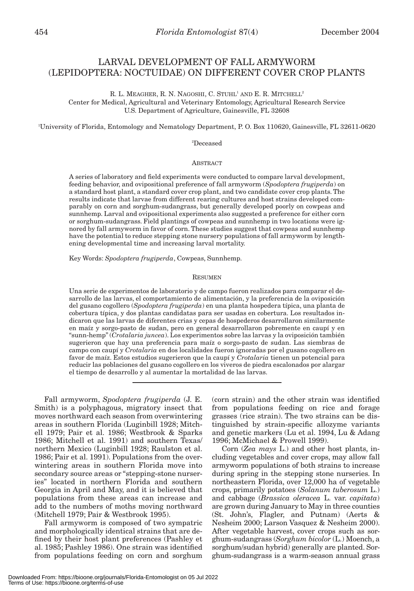# LARVAL DEVELOPMENT OF FALL ARMYWORM (LEPIDOPTERA: NOCTUIDAE) ON DIFFERENT COVER CROP PLANTS

R. L. MEAGHER, R. N. NAGOSHI, C. STUHL<sup>1</sup> AND E. R. MITCHELL<sup>2</sup> Center for Medical, Agricultural and Veterinary Entomology, Agricultural Research Service U.S. Department of Agriculture, Gainesville, FL 32608

1 University of Florida, Entomology and Nematology Department, P. O. Box 110620, Gainesville, FL 32611-0620

2 Deceased

# **ABSTRACT**

A series of laboratory and field experiments were conducted to compare larval development, feeding behavior, and ovipositional preference of fall armyworm (*Spodoptera frugiperda*) on a standard host plant, a standard cover crop plant, and two candidate cover crop plants. The results indicate that larvae from different rearing cultures and host strains developed comparably on corn and sorghum-sudangrass, but generally developed poorly on cowpeas and sunnhemp. Larval and ovipositional experiments also suggested a preference for either corn or sorghum-sudangrass. Field plantings of cowpeas and sunnhemp in two locations were ignored by fall armyworm in favor of corn. These studies suggest that cowpeas and sunnhemp have the potential to reduce stepping stone nursery populations of fall armyworm by lengthening developmental time and increasing larval mortality.

Key Words: *Spodoptera frugiperda*, Cowpeas, Sunnhemp.

### RESUMEN

Una serie de experimentos de laboratorio y de campo fueron realizados para comparar el desarrollo de las larvas, el comportamiento de alimentación, y la preferencia de la oviposición del gusano cogollero (*Spodoptera frugiperda*) en una planta hospedera típica, una planta de cobertura típica, y dos plantas candidatas para ser usadas en cobertura. Los resultados indicaron que las larvas de diferentes crias y cepas de hospederos desarrollaron similarmente en maíz y sorgo-pasto de sudan, pero en general desarrollaron pobremente en caupí y en "sunn-hemp" (*Crotalaria juncea*). Los experimentos sobre las larvas y la oviposición también sugerieron que hay una preferencia para maíz o sorgo-pasto de sudan. Las siembras de campo con caupí y *Crotalaria* en dos localidades fueron ignoradas por el gusano cogollero en favor de maíz. Estos estudios sugerieron que la caupí y *Crotalaria* tienen un potencial para reducir las poblaciones del gusano cogollero en los viveros de piedra escalonados por alargar el tiempo de desarrollo y al aumentar la mortalidad de las larvas.

Fall armyworm, *Spodoptera frugiperda* (J. E. Smith) is a polyphagous, migratory insect that moves northward each season from overwintering areas in southern Florida (Luginbill 1928; Mitchell 1979; Pair et al. 1986; Westbrook & Sparks 1986; Mitchell et al. 1991) and southern Texas/ northern Mexico (Luginbill 1928; Raulston et al. 1986; Pair et al. 1991). Populations from the overwintering areas in southern Florida move into secondary source areas or "stepping-stone nurseries" located in northern Florida and southern Georgia in April and May, and it is believed that populations from these areas can increase and add to the numbers of moths moving northward (Mitchell 1979; Pair & Westbrook 1995).

Fall armyworm is composed of two sympatric and morphologically identical strains that are defined by their host plant preferences (Pashley et al. 1985; Pashley 1986). One strain was identified from populations feeding on corn and sorghum (corn strain) and the other strain was identified from populations feeding on rice and forage grasses (rice strain). The two strains can be distinguished by strain-specific allozyme variants and genetic markers (Lu et al. 1994, Lu & Adang 1996; McMichael & Prowell 1999).

Corn (*Zea mays* L.) and other host plants, including vegetables and cover crops, may allow fall armyworm populations of both strains to increase during spring in the stepping stone nurseries. In northeastern Florida, over 12,000 ha of vegetable crops, primarily potatoes (*Solanum tuberosum* L.) and cabbage (*Brassica oleracea* L. var. *capitata*) are grown during January to May in three counties (St. John's, Flagler, and Putnam) (Aerts & Nesheim 2000; Larson Vasquez & Nesheim 2000). After vegetable harvest, cover crops such as sorghum-sudangrass (*Sorghum bicolor* (L.) Moench, a sorghum/sudan hybrid) generally are planted. Sorghum-sudangrass is a warm-season annual grass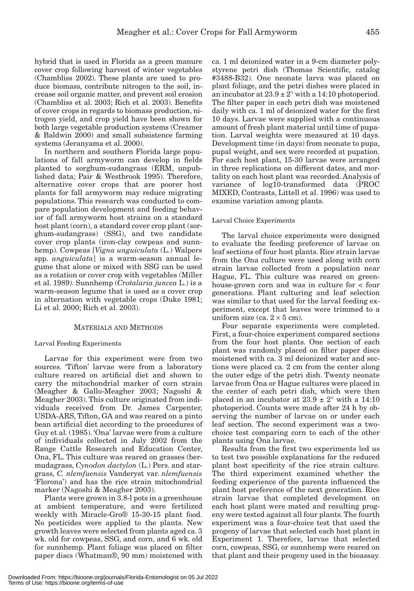hybrid that is used in Florida as a green manure cover crop following harvest of winter vegetables (Chambliss 2002). These plants are used to produce biomass, contribute nitrogen to the soil, increase soil organic matter, and prevent soil erosion (Chambliss et al. 2003; Rich et al. 2003). Benefits of cover crops in regards to biomass production, nitrogen yield, and crop yield have been shown for both large vegetable production systems (Creamer & Baldwin 2000) and small subsistence farming systems (Jeranyama et al. 2000).

In northern and southern Florida large populations of fall armyworm can develop in fields planted to sorghum-sudangrass (ERM, unpublished data; Pair & Westbrook 1995). Therefore, alternative cover crops that are poorer host plants for fall armyworm may reduce migrating populations. This research was conducted to compare population development and feeding behavior of fall armyworm host strains on a standard host plant (corn), a standard cover crop plant (sorghum-sudangrass) (SSG), and two candidate cover crop plants (iron-clay cowpeas and sunnhemp). Cowpeas [*Vigna unguiculata* (L.) Walpers spp. *unguiculata*] is a warm-season annual legume that alone or mixed with SSG can be used as a rotation or cover crop with vegetables (Miller et al. 1989). Sunnhemp (*Crotalaria juncea* L.) is a warm-season legume that is used as a cover crop in alternation with vegetable crops (Duke 1981; Li et al. 2000; Rich et al. 2003).

# MATERIALS AND METHODS

# Larval Feeding Experiments

Larvae for this experiment were from two sources. 'Tifton' larvae were from a laboratory culture reared on artificial diet and shown to carry the mitochondrial marker of corn strain (Meagher & Gallo-Meagher 2003; Nagoshi & Meagher 2003). This culture originated from individuals received from Dr. James Carpenter, USDA-ARS, Tifton, GA and was reared on a pinto bean artificial diet according to the procedures of Guy et al. (1985). 'Ona' larvae were from a culture of individuals collected in July 2002 from the Range Cattle Research and Education Center, Ona, FL. This culture was reared on grasses (bermudagrass, *Cynodon dactylon* (L.) Pers. and stargrass, *C. nlemfuensis* Vanderyst var. *nlemfuensis* 'Florona') and has the rice strain mitochondrial marker (Nagoshi & Meagher 2003).

Plants were grown in 3.8-l pots in a greenhouse at ambient temperature, and were fertilized weekly with Miracle-Gro® 15-30-15 plant food. No pesticides were applied to the plants. New growth leaves were selected from plants aged ca. 3 wk. old for cowpeas, SSG, and corn, and 6 wk. old for sunnhemp. Plant foliage was placed on filter paper discs (Whatman®, 90 mm) moistened with

ca. 1 ml deionized water in a 9-cm diameter polystyrene petri dish (Thomas Scientific, catalog #3488-B32). One neonate larva was placed on plant foliage, and the petri dishes were placed in an incubator at  $23.9 \pm 2^{\circ}$  with a 14:10 photoperiod. The filter paper in each petri dish was moistened daily with ca. 1 ml of deionized water for the first 10 days. Larvae were supplied with a continuous amount of fresh plant material until time of pupation. Larval weights were measured at 10 days. Development time (in days) from neonate to pupa, pupal weight, and sex were recorded at pupation. For each host plant, 15-30 larvae were arranged in three replications on different dates, and mortality on each host plant was recorded. Analysis of variance of log10-transformed data (PROC MIXED, Contrasts, Littell et al. 1996) was used to examine variation among plants.

# Larval Choice Experiments

The larval choice experiments were designed to evaluate the feeding preference of larvae on leaf sections of four host plants. Rice strain larvae from the Ona culture were used along with corn strain larvae collected from a population near Hague, FL. This culture was reared on greenhouse-grown corn and was in culture for < four generations. Plant culturing and leaf selection was similar to that used for the larval feeding experiment, except that leaves were trimmed to a uniform size (ca.  $2 \times 5$  cm).

Four separate experiments were completed. First, a four-choice experiment compared sections from the four host plants. One section of each plant was randomly placed on filter paper discs moistened with ca. 3 ml deionized water and sections were placed ca. 2 cm from the center along the outer edge of the petri dish. Twenty neonate larvae from Ona or Hague cultures were placed in the center of each petri dish, which were then placed in an incubator at  $23.9 \pm 2^{\circ}$  with a 14:10 photoperiod. Counts were made after 24 h by observing the number of larvae on or under each leaf section. The second experiment was a twochoice test comparing corn to each of the other plants using Ona larvae.

Results from the first two experiments led us to test two possible explanations for the reduced plant host specificity of the rice strain culture. The third experiment examined whether the feeding experience of the parents influenced the plant host preference of the next generation. Rice strain larvae that completed development on each host plant were mated and resulting progeny were tested against all four plants. The fourth experiment was a four-choice test that used the progeny of larvae that selected each host plant in Experiment 1. Therefore, larvae that selected corn, cowpeas, SSG, or sunnhemp were reared on that plant and their progeny used in the bioassay.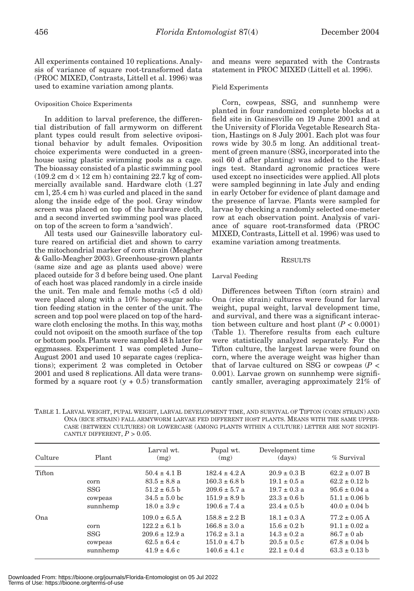All experiments contained 10 replications. Analysis of variance of square root-transformed data (PROC MIXED, Contrasts, Littell et al. 1996) was used to examine variation among plants.

# Oviposition Choice Experiments

In addition to larval preference, the differential distribution of fall armyworm on different plant types could result from selective ovipositional behavior by adult females. Oviposition choice experiments were conducted in a greenhouse using plastic swimming pools as a cage. The bioassay consisted of a plastic swimming pool  $(109.2 \text{ cm}) \times 12 \text{ cm}$  h) containing 22.7 kg of commercially available sand. Hardware cloth (1.27 cm l, 25.4 cm h) was curled and placed in the sand along the inside edge of the pool. Gray window screen was placed on top of the hardware cloth, and a second inverted swimming pool was placed on top of the screen to form a 'sandwich'.

All tests used our Gainesville laboratory culture reared on artificial diet and shown to carry the mitochondrial marker of corn strain (Meagher & Gallo-Meagher 2003). Greenhouse-grown plants (same size and age as plants used above) were placed outside for 3 d before being used. One plant of each host was placed randomly in a circle inside the unit. Ten male and female moths (<5 d old) were placed along with a 10% honey-sugar solution feeding station in the center of the unit. The screen and top pool were placed on top of the hardware cloth enclosing the moths. In this way, moths could not oviposit on the smooth surface of the top or bottom pools. Plants were sampled 48 h later for eggmasses. Experiment 1 was completed June– August 2001 and used 10 separate cages (replications); experiment 2 was completed in October 2001 and used 8 replications. All data were transformed by a square root  $(y + 0.5)$  transformation

and means were separated with the Contrasts statement in PROC MIXED (Littell et al. 1996).

# Field Experiments

Corn, cowpeas, SSG, and sunnhemp were planted in four randomized complete blocks at a field site in Gainesville on 19 June 2001 and at the University of Florida Vegetable Research Station, Hastings on 8 July 2001. Each plot was four rows wide by 30.5 m long. An additional treatment of green manure (SSG, incorporated into the soil 60 d after planting) was added to the Hastings test. Standard agronomic practices were used except no insecticides were applied. All plots were sampled beginning in late July and ending in early October for evidence of plant damage and the presence of larvae. Plants were sampled for larvae by checking a randomly selected one-meter row at each observation point. Analysis of variance of square root-transformed data (PROC MIXED, Contrasts, Littell et al. 1996) was used to examine variation among treatments.

# RESULTS

# Larval Feeding

Differences between Tifton (corn strain) and Ona (rice strain) cultures were found for larval weight, pupal weight, larval development time, and survival, and there was a significant interaction between culture and host plant  $(P < 0.0001)$ (Table 1). Therefore results from each culture were statistically analyzed separately. For the Tifton culture, the largest larvae were found on corn, where the average weight was higher than that of larvae cultured on SSG or cowpeas (*P* < 0.001). Larvae grown on sunnhemp were significantly smaller, averaging approximately 21% of

TABLE 1. LARVAL WEIGHT, PUPAL WEIGHT, LARVAL DEVELOPMENT TIME, AND SURVIVAL OF TIFTON (CORN STRAIN) AND ONA (RICE STRAIN) FALL ARMYWORM LARVAE FED DIFFERENT HOST PLANTS. MEANS WITH THE SAME UPPER-CASE (BETWEEN CULTURES) OR LOWERCASE (AMONG PLANTS WITHIN A CULTURE) LETTER ARE NOT SIGNIFI-CANTLY DIFFERENT,  $P > 0.05$ .

| Culture | Plant                                     | Larval wt.<br>(mg)                                                                                   | Pupal wt.<br>(mg)                                                                                     | Development time<br>(days)                                                                       | % Survival                                                                                            |
|---------|-------------------------------------------|------------------------------------------------------------------------------------------------------|-------------------------------------------------------------------------------------------------------|--------------------------------------------------------------------------------------------------|-------------------------------------------------------------------------------------------------------|
| Tifton  | corn<br><b>SSG</b><br>cowpeas<br>sunnhemp | $50.4 \pm 4.1$ B<br>$83.5 \pm 8.8$ a<br>$51.2 \pm 6.5$ b<br>$34.5 \pm 5.0$ bc<br>$18.0 \pm 3.9$ c    | $182.4 \pm 4.2$ A<br>$160.3 \pm 6.8$ b<br>$209.6 \pm 5.7$ a<br>$151.9 \pm 8.9$ b<br>$190.6 \pm 7.4$ a | $20.9 \pm 0.3$ B<br>$19.1 \pm 0.5$ a<br>$19.7 \pm 0.3$ a<br>$23.3 \pm 0.6$ b<br>$23.4 \pm 0.5$ b | $62.2 \pm 0.07$ B<br>$62.2 \pm 0.12$ b<br>$95.6 \pm 0.04$ a<br>$51.1 \pm 0.06$ b<br>$40.0 \pm 0.04$ b |
| Ona     | corn<br><b>SSG</b><br>cowpeas<br>sunnhemp | $109.0 \pm 6.5$ A<br>$122.2 \pm 6.1$ b<br>$209.6 \pm 12.9$ a<br>$62.5 \pm 6.4$ c<br>$41.9 \pm 4.6$ c | $158.8 \pm 2.2$ B<br>$166.8 \pm 3.0 a$<br>$176.2 \pm 3.1$ a<br>$151.0 \pm 4.7$ b<br>$140.6 \pm 4.1 c$ | $18.1 \pm 0.3$ A<br>$15.6 \pm 0.2$ b<br>$14.3 \pm 0.2$ a<br>$20.5 \pm 0.5$ c<br>$22.1 \pm 0.4$ d | $77.2 \pm 0.05$ A<br>$91.1 \pm 0.02$ a<br>$86.7 \pm 0$ ab<br>$67.8 \pm 0.04$ b<br>$63.3 \pm 0.13$ b   |

Downloaded From: https://bioone.org/journals/Florida-Entomologist on 05 Jul 2022 Terms of Use: https://bioone.org/terms-of-use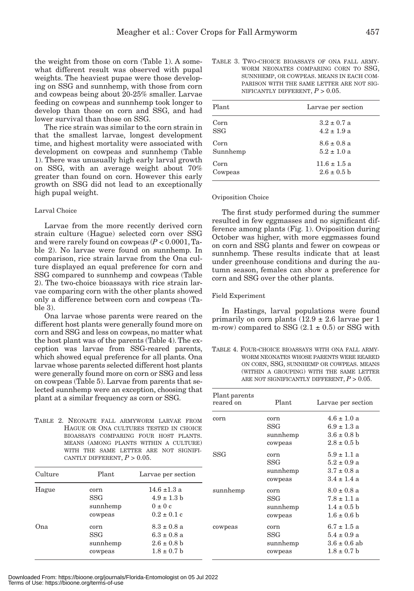the weight from those on corn (Table 1). A somewhat different result was observed with pupal weights. The heaviest pupae were those developing on SSG and sunnhemp, with those from corn and cowpeas being about 20-25% smaller. Larvae feeding on cowpeas and sunnhemp took longer to develop than those on corn and SSG, and had lower survival than those on SSG.

The rice strain was similar to the corn strain in that the smallest larvae, longest development time, and highest mortality were associated with development on cowpeas and sunnhemp (Table 1). There was unusually high early larval growth on SSG, with an average weight about 70% greater than found on corn. However this early growth on SSG did not lead to an exceptionally high pupal weight.

# Larval Choice

Larvae from the more recently derived corn strain culture (Hague) selected corn over SSG and were rarely found on cowpeas (*P* < 0.0001, Table 2). No larvae were found on sunnhemp. In comparison, rice strain larvae from the Ona culture displayed an equal preference for corn and SSG compared to sunnhemp and cowpeas (Table 2). The two-choice bioassays with rice strain larvae comparing corn with the other plants showed only a difference between corn and cowpeas (Table 3).

Ona larvae whose parents were reared on the different host plants were generally found more on corn and SSG and less on cowpeas, no matter what the host plant was of the parents (Table 4). The exception was larvae from SSG-reared parents, which showed equal preference for all plants. Ona larvae whose parents selected different host plants were generally found more on corn or SSG and less on cowpeas (Table 5). Larvae from parents that selected sunnhemp were an exception, choosing that plant at a similar frequency as corn or SSG.

TABLE 2. NEONATE FALL ARMYWORM LARVAE FROM HAGUE OR ONA CULTURES TESTED IN CHOICE BIOASSAYS COMPARING FOUR HOST PLANTS. MEANS (AMONG PLANTS WITHIN A CULTURE) WITH THE SAME LETTER ARE NOT SIGNIFI-CANTLY DIFFERENT,  $P > 0.05$ .

Culture Plant Larvae per section

Hague corn  $14.6 \pm 1.3$  a

Ona corn  $8.3 \pm 0.8$  a

| TABLE 3. TWO-CHOICE BIOASSAYS OF ONA FALL ARMY- |  |
|-------------------------------------------------|--|
| WORM NEONATES COMPARING CORN TO SSG,            |  |
| SUNNHEMP, OR COWPEAS. MEANS IN EACH COM-        |  |
| PARISON WITH THE SAME LETTER ARE NOT SIG-       |  |
| NIFICANTLY DIFFERENT, $P > 0.05$ .              |  |

| Plant      | Larvae per section |
|------------|--------------------|
| Corn       | $3.2 \pm 0.7$ a    |
| <b>SSG</b> | $4.2 \pm 1.9$ a    |
| Corn       | $8.6 \pm 0.8$ a    |
| Sunnhemp   | $5.2 \pm 1.0$ a    |
| Corn       | $11.6 \pm 1.5$ a   |
| Cowpeas    | $2.6 \pm 0.5$ b    |

# Oviposition Choice

The first study performed during the summer resulted in few eggmasses and no significant difference among plants (Fig. 1). Oviposition during October was higher, with more eggmasses found on corn and SSG plants and fewer on cowpeas or sunnhemp. These results indicate that at least under greenhouse conditions and during the autumn season, females can show a preference for corn and SSG over the other plants.

# Field Experiment

In Hastings, larval populations were found primarily on corn plants  $(12.9 \pm 2.6)$  larvae per 1 m-row) compared to SSG  $(2.1 \pm 0.5)$  or SSG with

TABLE 4. FOUR-CHOICE BIOASSAYS WITH ONA FALL ARMY-WORM NEONATES WHOSE PARENTS WERE REARED ON CORN, SSG, SUNNHEMP OR COWPEAS. MEANS (WITHIN A GROUPING) WITH THE SAME LETTER ARE NOT SIGNIFICANTLY DIFFERENT, *P* > 0.05.

| Plant parents<br>reared on | Plant                              | Larvae per section                                                               |
|----------------------------|------------------------------------|----------------------------------------------------------------------------------|
| corn                       | corn<br>SSG<br>sunnhemp<br>cowpeas | $4.6 \pm 1.0 a$<br>$6.9 \pm 1.3 \text{ a}$<br>$3.6 \pm 0.8$ b<br>$2.8 \pm 0.5$ b |
| SSG                        | corn<br>SSG<br>sunnhemp<br>cowpeas | $5.9 \pm 1.1 a$<br>$5.2 \pm 0.9$ a<br>$3.7 \pm 0.8$ a<br>$3.4 \pm 1.4$ a         |
| sunnhemp                   | corn<br>SSG<br>sunnhemp<br>cowpeas | $8.0 \pm 0.8$ a<br>$7.8 \pm 1.1 \text{ a}$<br>$1.4 \pm 0.5$ b<br>$1.6 \pm 0.6$ b |
| cowpeas                    | corn<br>SSG<br>sunnhemp<br>cowpeas | $6.7 \pm 1.5$ a<br>$5.4 \pm 0.9$ a<br>$3.6 \pm 0.6$ ab<br>$1.8 \pm 0.7$ b        |

| Downloaded From: https://bioone.org/journals/Florida-Entomologist on 05 Jul 2022 |  |
|----------------------------------------------------------------------------------|--|
| Terms of Use: https://bioone.org/terms-of-use                                    |  |

SSG  $4.9 \pm 1.3 \text{ b}$ sunnhemp  $0 \pm 0$  c cowpeas  $0.2 \pm 0.1$  c

SSG 6.3  $\pm$  0.8 a sunnhemp  $2.6 \pm 0.8$  b cowpeas  $1.8 \pm 0.7$  b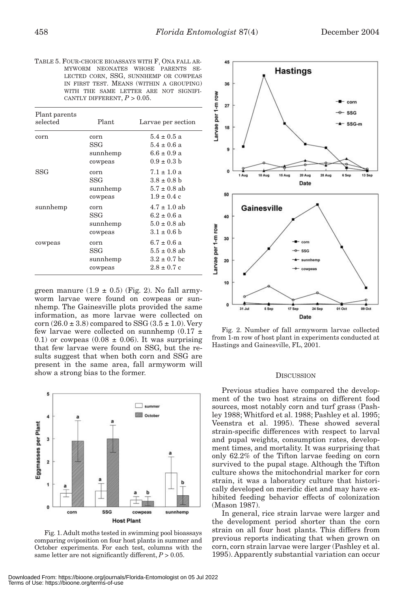TABLE 5. FOUR-CHOICE BIOASSAYS WITH F, ONA FALL AR-MYWORM NEONATES WHOSE PARENTS SE-LECTED CORN, SSG, SUNNHEMP OR COWPEAS IN FIRST TEST. MEANS (WITHIN A GROUPING) WITH THE SAME LETTER ARE NOT SIGNIFI-CANTLY DIFFERENT,  $P > 0.05$ .

| Plant parents<br>selected | Plant.                             | Larvae per section                                                         |
|---------------------------|------------------------------------|----------------------------------------------------------------------------|
| corn                      | corn<br>SSG<br>sunnhemp<br>cowpeas | $5.4 \pm 0.5$ a<br>$5.4 \pm 0.6$ a<br>$6.6 \pm 0.9 a$<br>$0.9 \pm 0.3 h$   |
| SSG                       | corn<br>SSG<br>sunnhemp<br>cowpeas | $7.1 \pm 1.0$ a<br>$3.8 \pm 0.8$ b<br>$5.7 \pm 0.8$ ab<br>$1.9 \pm 0.4$ c  |
| sunnhemp                  | corn<br>SSG<br>sunnhemp<br>cowpeas | $4.7 \pm 1.0$ ab<br>$6.2 \pm 0.6$ a<br>$5.0 \pm 0.8$ ab<br>$3.1 \pm 0.6$ b |
| cowpeas                   | corn<br>SSG<br>sunnhemp<br>cowpeas | $6.7 \pm 0.6$ a<br>$5.5 \pm 0.8$ ab<br>$3.2 \pm 0.7$ bc<br>$2.8 \pm 0.7$ c |

green manure  $(1.9 \pm 0.5)$  (Fig. 2). No fall armyworm larvae were found on cowpeas or sunnhemp. The Gainesville plots provided the same information, as more larvae were collected on corn  $(26.0 \pm 3.8)$  compared to SSG  $(3.5 \pm 1.0)$ . Very few larvae were collected on sunnhemp  $(0.17 \pm 1)$ 0.1) or cowpeas (0.08  $\pm$  0.06). It was surprising that few larvae were found on SSG, but the results suggest that when both corn and SSG are present in the same area, fall armyworm will show a strong bias to the former. DISCUSSION



Fig. 1. Adult moths tested in swimming pool bioassays comparing oviposition on four host plants in summer and October experiments. For each test, columns with the same letter are not significantly different,  $P > 0.05$ .



Fig. 2. Number of fall armyworm larvae collected from 1-m row of host plant in experiments conducted at Hastings and Gainesville, FL, 2001.

Previous studies have compared the development of the two host strains on different food sources, most notably corn and turf grass (Pashley 1988; Whitford et al. 1988; Pashley et al. 1995; Veenstra et al. 1995). These showed several strain-specific differences with respect to larval and pupal weights, consumption rates, development times, and mortality. It was surprising that only 62.2% of the Tifton larvae feeding on corn survived to the pupal stage. Although the Tifton culture shows the mitochondrial marker for corn strain, it was a laboratory culture that historically developed on meridic diet and may have exhibited feeding behavior effects of colonization (Mason 1987).

In general, rice strain larvae were larger and the development period shorter than the corn strain on all four host plants. This differs from previous reports indicating that when grown on corn, corn strain larvae were larger (Pashley et al. 1995). Apparently substantial variation can occur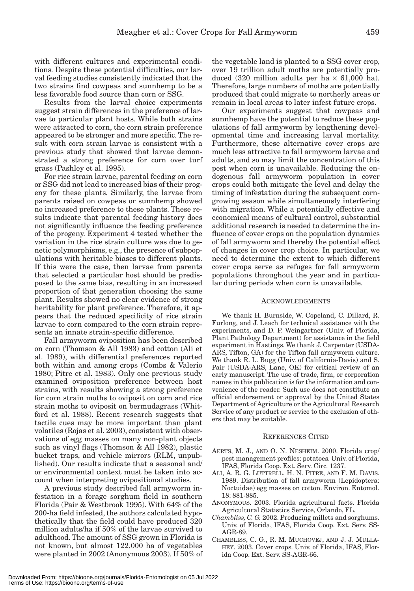with different cultures and experimental conditions. Despite these potential difficulties, our larval feeding studies consistently indicated that the two strains find cowpeas and sunnhemp to be a less favorable food source than corn or SSG.

Results from the larval choice experiments suggest strain differences in the preference of larvae to particular plant hosts. While both strains were attracted to corn, the corn strain preference appeared to be stronger and more specific. The result with corn strain larvae is consistent with a previous study that showed that larvae demonstrated a strong preference for corn over turf grass (Pashley et al. 1995).

For rice strain larvae, parental feeding on corn or SSG did not lead to increased bias of their progeny for these plants. Similarly, the larvae from parents raised on cowpeas or sunnhemp showed no increased preference to these plants. These results indicate that parental feeding history does not significantly influence the feeding preference of the progeny. Experiment 4 tested whether the variation in the rice strain culture was due to genetic polymorphisms, e.g., the presence of subpopulations with heritable biases to different plants. If this were the case, then larvae from parents that selected a particular host should be predisposed to the same bias, resulting in an increased proportion of that generation choosing the same plant. Results showed no clear evidence of strong heritability for plant preference. Therefore, it appears that the reduced specificity of rice strain larvae to corn compared to the corn strain represents an innate strain-specific difference.

Fall armyworm oviposition has been described on corn (Thomson & All 1983) and cotton (Ali et al. 1989), with differential preferences reported both within and among crops (Combs & Valerio 1980; Pitre et al. 1983). Only one previous study examined oviposition preference between host strains, with results showing a strong preference for corn strain moths to oviposit on corn and rice strain moths to oviposit on bermudagrass (Whitford et al. 1988). Recent research suggests that tactile cues may be more important than plant volatiles (Rojas et al. 2003), consistent with observations of egg masses on many non-plant objects such as vinyl flags (Thomson & All 1982), plastic bucket traps, and vehicle mirrors (RLM, unpublished). Our results indicate that a seasonal and/ or environmental context must be taken into account when interpreting ovipositional studies.

A previous study described fall armyworm infestation in a forage sorghum field in southern Florida (Pair & Westbrook 1995). With 64% of the 200-ha field infested, the authors calculated hypothetically that the field could have produced 320 million adults/ha if 50% of the larvae survived to adulthood. The amount of SSG grown in Florida is not known, but almost 122,000 ha of vegetables were planted in 2002 (Anonymous 2003). If 50% of the vegetable land is planted to a SSG cover crop, over 19 trillion adult moths are potentially produced (320 million adults per ha  $\times$  61,000 ha). Therefore, large numbers of moths are potentially produced that could migrate to northerly areas or remain in local areas to later infest future crops.

Our experiments suggest that cowpeas and sunnhemp have the potential to reduce these populations of fall armyworm by lengthening developmental time and increasing larval mortality. Furthermore, these alternative cover crops are much less attractive to fall armyworm larvae and adults, and so may limit the concentration of this pest when corn is unavailable. Reducing the endogenous fall armyworm population in cover crops could both mitigate the level and delay the timing of infestation during the subsequent corngrowing season while simultaneously interfering with migration. While a potentially effective and economical means of cultural control, substantial additional research is needed to determine the influence of cover crops on the population dynamics of fall armyworm and thereby the potential effect of changes in cover crop choice. In particular, we need to determine the extent to which different cover crops serve as refuges for fall armyworm populations throughout the year and in particular during periods when corn is unavailable.

# ACKNOWLEDGMENTS

We thank H. Burnside, W. Copeland, C. Dillard, R. Furlong, and J. Leach for technical assistance with the experiments, and D. P. Weingartner (Univ. of Florida, Plant Pathology Department) for assistance in the field experiment in Hastings. We thank J. Carpenter (USDA-ARS, Tifton, GA) for the Tifton fall armyworm culture. We thank R. L. Bugg (Univ. of California-Davis) and S. Pair (USDA-ARS, Lane, OK) for critical review of an early manuscript. The use of trade, firm, or corporation names in this publication is for the information and convenience of the reader. Such use does not constitute an official endorsement or approval by the United States Department of Agriculture or the Agricultural Research Service of any product or service to the exclusion of others that may be suitable.

## REFERENCES CITED

- AERTS, M. J., AND O. N. NESHEIM. 2000. Florida crop/ pest management profiles: potatoes. Univ. of Florida, IFAS, Florida Coop. Ext. Serv. Circ. 1237.
- ALI, A. R. G. LUTTRELL, H. N. PITRE, AND F. M. DAVIS. 1989. Distribution of fall armyworm (Lepidoptera: Noctuidae) egg masses on cotton. Environ. Entomol. 18: 881-885.
- ANONYMOUS. 2003. Florida agricultural facts. Florida Agricultural Statistics Service, Orlando, FL.
- *Chambliss, C. G.* 2002. Producing millets and sorghums. Univ. of Florida, IFAS, Florida Coop. Ext. Serv. SS-AGR-89.
- CHAMBLISS, C. G., R. M. MUCHOVEJ, AND J. J. MULLA-HEY. 2003. Cover crops. Univ. of Florida, IFAS, Florida Coop. Ext. Serv. SS-AGR-66.